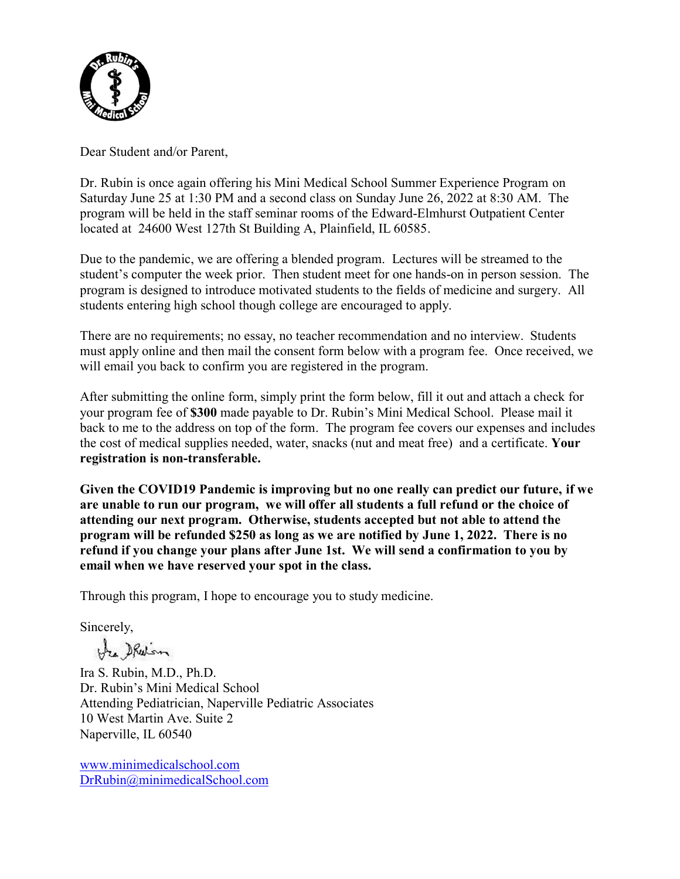

Dear Student and/or Parent,

Dr. Rubin is once again offering his Mini Medical School Summer Experience Program on Saturday June 25 at 1:30 PM and a second class on Sunday June 26, 2022 at 8:30 AM. The program will be held in the staff seminar rooms of the Edward-Elmhurst Outpatient Center located at 24600 West 127th St Building A, Plainfield, IL 60585.

Due to the pandemic, we are offering a blended program. Lectures will be streamed to the student's computer the week prior. Then student meet for one hands-on in person session. The program is designed to introduce motivated students to the fields of medicine and surgery. All students entering high school though college are encouraged to apply.

There are no requirements; no essay, no teacher recommendation and no interview. Students must apply online and then mail the consent form below with a program fee. Once received, we will email you back to confirm you are registered in the program.

After submitting the online form, simply print the form below, fill it out and attach a check for your program fee of **\$300** made payable to Dr. Rubin's Mini Medical School. Please mail it back to me to the address on top of the form. The program fee covers our expenses and includes the cost of medical supplies needed, water, snacks (nut and meat free) and a certificate. **Your registration is non-transferable.** 

**Given the COVID19 Pandemic is improving but no one really can predict our future, if we are unable to run our program, we will offer all students a full refund or the choice of attending our next program. Otherwise, students accepted but not able to attend the program will be refunded \$250 as long as we are notified by June 1, 2022. There is no refund if you change your plans after June 1st. We will send a confirmation to you by email when we have reserved your spot in the class.**

Through this program, I hope to encourage you to study medicine.

Sincerely,

Ha Shelon

Ira S. Rubin, M.D., Ph.D. Dr. Rubin's Mini Medical School Attending Pediatrician, Naperville Pediatric Associates 10 West Martin Ave. Suite 2 Naperville, IL 60540

[www.minimedicalschool.com](http://www.minimedicalschool.com/) [DrRubin@minimedicalSchool.com](mailto:DrRubin@minimedicalSchool.com)